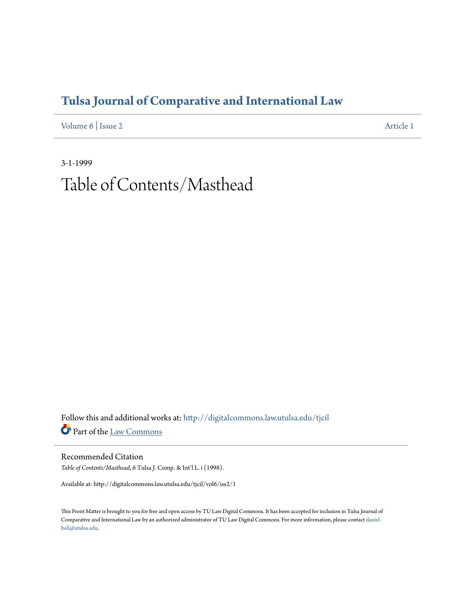## **[Tulsa Journal of Comparative and International Law](http://digitalcommons.law.utulsa.edu/tjcil?utm_source=digitalcommons.law.utulsa.edu%2Ftjcil%2Fvol6%2Fiss2%2F1&utm_medium=PDF&utm_campaign=PDFCoverPages)**

[Volume 6](http://digitalcommons.law.utulsa.edu/tjcil/vol6?utm_source=digitalcommons.law.utulsa.edu%2Ftjcil%2Fvol6%2Fiss2%2F1&utm_medium=PDF&utm_campaign=PDFCoverPages) | [Issue 2](http://digitalcommons.law.utulsa.edu/tjcil/vol6/iss2?utm_source=digitalcommons.law.utulsa.edu%2Ftjcil%2Fvol6%2Fiss2%2F1&utm_medium=PDF&utm_campaign=PDFCoverPages) [Article 1](http://digitalcommons.law.utulsa.edu/tjcil/vol6/iss2/1?utm_source=digitalcommons.law.utulsa.edu%2Ftjcil%2Fvol6%2Fiss2%2F1&utm_medium=PDF&utm_campaign=PDFCoverPages)

3-1-1999 Table of Contents/Masthead

Follow this and additional works at: [http://digitalcommons.law.utulsa.edu/tjcil](http://digitalcommons.law.utulsa.edu/tjcil?utm_source=digitalcommons.law.utulsa.edu%2Ftjcil%2Fvol6%2Fiss2%2F1&utm_medium=PDF&utm_campaign=PDFCoverPages) Part of the [Law Commons](http://network.bepress.com/hgg/discipline/578?utm_source=digitalcommons.law.utulsa.edu%2Ftjcil%2Fvol6%2Fiss2%2F1&utm_medium=PDF&utm_campaign=PDFCoverPages)

Recommended Citation *Table of Contents/Masthead*, 6 Tulsa J. Comp. & Int'l L. i (1998).

Available at: http://digitalcommons.law.utulsa.edu/tjcil/vol6/iss2/1

This Front Matter is brought to you for free and open access by TU Law Digital Commons. It has been accepted for inclusion in Tulsa Journal of Comparative and International Law by an authorized administrator of TU Law Digital Commons. For more information, please contact [daniel](mailto:daniel-bell@utulsa.edu)[bell@utulsa.edu](mailto:daniel-bell@utulsa.edu).